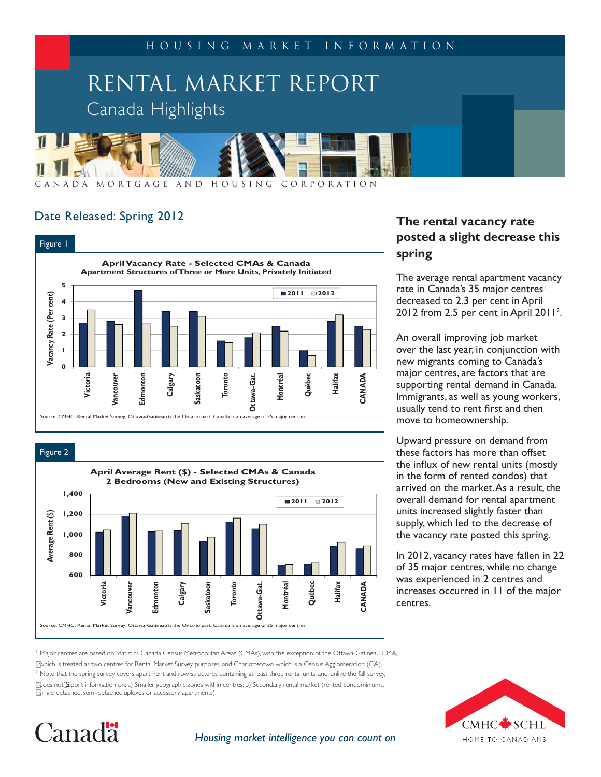

Date Released: Spring 2012

Canada<sup>.</sup>



Figure 2 **April Average Rent (\$) - Selected CMAs & Canada 2 Bedrooms (New and Existing Structures) 1,400 2011 2012** Average Rent (\$) **Average Rent (\$) 1,200 1,000 800 600 Halifax** Vancouver **Calgary Toronto Québec Victoria Vancouver Edmonton Ottawa-Gat. CANADA** Edmonton **Saskatoon** Ottawa-Gat. **Montréal** Source: CMHC, Rental Market Survey; Ottawa-Gatineau is the Ontario part; Canada is an average of 35 major centres

#### **The rental vacancy rate posted a slight decrease this spring**

The average rental apartment vacancy rate in Canada's 35 major centres<sup>1</sup> decreased to 2.3 per cent in April 2012 from 2.5 per cent in April 2011<sup>2</sup>.

An overall improving job market over the last year, in conjunction with new migrants coming to Canada's major centres, are factors that are supporting rental demand in Canada. Immigrants, as well as young workers, usually tend to rent first and then move to homeownership.

Upward pressure on demand from these factors has more than offset the influx of new rental units (mostly in the form of rented condos) that arrived on the market. As a result, the overall demand for rental apartment units increased slightly faster than supply, which led to the decrease of the vacancy rate posted this spring.

In 2012, vacancy rates have fallen in 22 of 35 major centres, while no change was experienced in 2 centres and increases occurred in 11 of the major centres.

<sup>1</sup> Major centres are based on Statistics Canada Census Metropolitan Areas (CMAs), with the exception of the Ottawa-Gatineau CMA,

which is treated as two centres for Rental Market Survey purposes, and Charlottetown which is a Census Agglomeration (CA).  $2$  Note that the spring survey covers apartment and row structures containing at least three rental units, and, unlike the fall survey, does not deport information on: a) Smaller geographic zones within centres; b) Secondary rental market (rented condominiums, single detached, semi-detached,uplexes or accessory apartments).



#### *Housing market intelligence you can count on*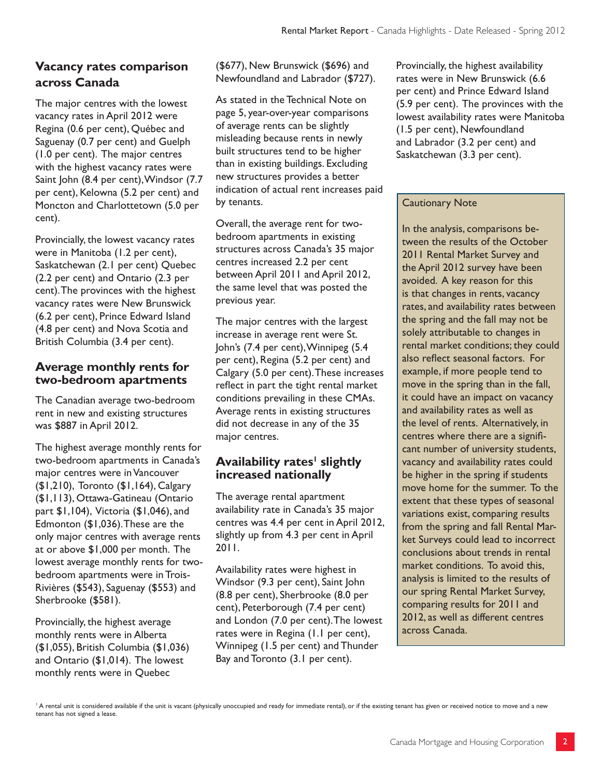#### **Vacancy rates comparison across Canada**

The major centres with the lowest vacancy rates in April 2012 were Regina (0.6 per cent), Québec and Saguenay (0.7 per cent) and Guelph (1.0 per cent). The major centres with the highest vacancy rates were Saint John (8.4 per cent), Windsor (7.7 per cent), Kelowna (5.2 per cent) and Moncton and Charlottetown (5.0 per cent).

Provincially, the lowest vacancy rates were in Manitoba (1.2 per cent), Saskatchewan (2.1 per cent) Quebec (2.2 per cent) and Ontario (2.3 per cent). The provinces with the highest vacancy rates were New Brunswick (6.2 per cent), Prince Edward Island (4.8 per cent) and Nova Scotia and British Columbia (3.4 per cent).

#### **Average monthly rents for two-bedroom apartments**

The Canadian average two-bedroom rent in new and existing structures was \$887 in April 2012.

The highest average monthly rents for two-bedroom apartments in Canada's major centres were in Vancouver (\$1,210), Toronto (\$1,164), Calgary (\$1,113), Ottawa-Gatineau (Ontario part \$1,104), Victoria (\$1,046), and Edmonton (\$1,036). These are the only major centres with average rents at or above \$1,000 per month. The lowest average monthly rents for twobedroom apartments were in Trois-Rivières (\$543), Saguenay (\$553) and Sherbrooke (\$581).

Provincially, the highest average monthly rents were in Alberta (\$1,055), British Columbia (\$1,036) and Ontario (\$1,014). The lowest monthly rents were in Quebec

(\$677), New Brunswick (\$696) and Newfoundland and Labrador (\$727).

As stated in the Technical Note on page 5, year-over-year comparisons of average rents can be slightly misleading because rents in newly built structures tend to be higher than in existing buildings. Excluding new structures provides a better indication of actual rent increases paid by tenants.

Overall, the average rent for twobedroom apartments in existing structures across Canada's 35 major centres increased 2.2 per cent between April 2011 and April 2012, the same level that was posted the previous year.

The major centres with the largest increase in average rent were St. John's (7.4 per cent), Winnipeg (5.4 per cent), Regina (5.2 per cent) and Calgary (5.0 per cent). These increases reflect in part the tight rental market conditions prevailing in these CMAs. Average rents in existing structures did not decrease in any of the 35 major centres.

#### $\boldsymbol{\mathsf{A}}$ vailability rates' slightly **increased nationally**

The average rental apartment availability rate in Canada's 35 major centres was 4.4 per cent in April 2012, slightly up from 4.3 per cent in April 2011.

Availability rates were highest in Windsor (9.3 per cent), Saint John (8.8 per cent), Sherbrooke (8.0 per cent), Peterborough (7.4 per cent) and London (7.0 per cent). The lowest rates were in Regina (1.1 per cent), Winnipeg (1.5 per cent) and Thunder Bay and Toronto (3.1 per cent).

Provincially, the highest availability rates were in New Brunswick (6.6 per cent) and Prince Edward Island (5.9 per cent). The provinces with the lowest availability rates were Manitoba (1.5 per cent), Newfoundland and Labrador (3.2 per cent) and Saskatchewan (3.3 per cent).

#### Cautionary Note

In the analysis, comparisons between the results of the October 2011 Rental Market Survey and the April 2012 survey have been avoided. A key reason for this is that changes in rents, vacancy rates, and availability rates between the spring and the fall may not be solely attributable to changes in rental market conditions; they could also reflect seasonal factors. For example, if more people tend to move in the spring than in the fall, it could have an impact on vacancy and availability rates as well as the level of rents. Alternatively, in centres where there are a significant number of university students, vacancy and availability rates could be higher in the spring if students move home for the summer. To the extent that these types of seasonal variations exist, comparing results from the spring and fall Rental Market Surveys could lead to incorrect conclusions about trends in rental market conditions. To avoid this, analysis is limited to the results of our spring Rental Market Survey, comparing results for 2011 and 2012, as well as different centres across Canada.

<sup>1</sup> A rental unit is considered available if the unit is vacant (physically unoccupied and ready for immediate rental), or if the existing tenant has given or received notice to move and a new tenant has not signed a lease.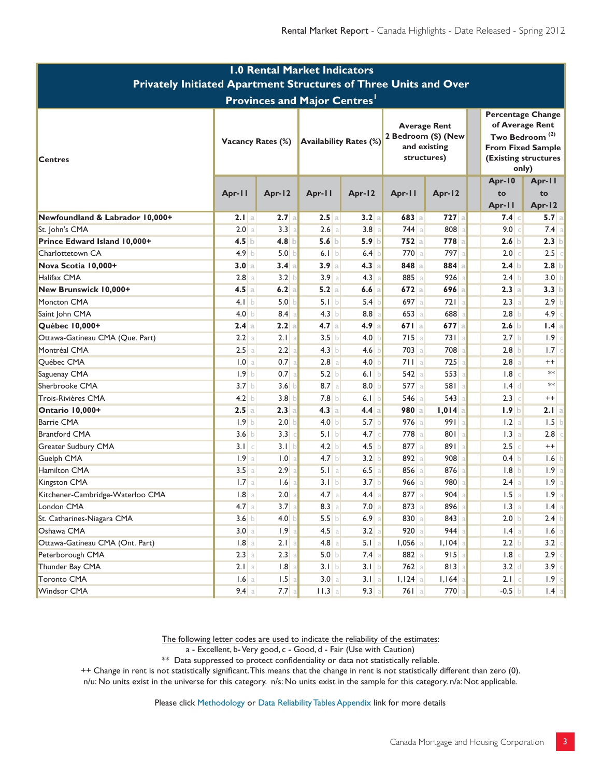| <b>1.0 Rental Market Indicators</b>                              |                          |                  |                               |                  |                                                                           |                  |  |                                                                                                                                        |                         |  |  |
|------------------------------------------------------------------|--------------------------|------------------|-------------------------------|------------------|---------------------------------------------------------------------------|------------------|--|----------------------------------------------------------------------------------------------------------------------------------------|-------------------------|--|--|
| Privately Initiated Apartment Structures of Three Units and Over |                          |                  |                               |                  |                                                                           |                  |  |                                                                                                                                        |                         |  |  |
| <b>Provinces and Major Centres'</b>                              |                          |                  |                               |                  |                                                                           |                  |  |                                                                                                                                        |                         |  |  |
| <b>Centres</b>                                                   | <b>Vacancy Rates (%)</b> |                  | <b>Availability Rates (%)</b> |                  | <b>Average Rent</b><br>2 Bedroom (\$) (New<br>and existing<br>structures) |                  |  | <b>Percentage Change</b><br>of Average Rent<br>Two Bedroom <sup>(2)</sup><br><b>From Fixed Sample</b><br>(Existing structures<br>only) |                         |  |  |
|                                                                  | Apr-11                   | Apr-12           | Apr-11                        | Apr-12           | Apr-11                                                                    | Apr-12           |  | Apr-10<br>to<br>Apr-11                                                                                                                 | Apr-11<br>to            |  |  |
| Newfoundland & Labrador 10,000+                                  | 2.1a                     | 2.7a             | 2.5a                          | 3.2a             | 683a                                                                      | $727$ a          |  | 7.4 c                                                                                                                                  | Apr-12<br>$5.7$ a       |  |  |
| St. John's CMA                                                   | 2.0 a                    | 3.3              | $2.6$ a                       | $3.8$ a          | $744$ a                                                                   | 808 a            |  | 9.0                                                                                                                                    | $7.4$ a<br>$\mathbb{C}$ |  |  |
| Prince Edward Island 10,000+                                     | 4.5 b                    | 4.8              | 5.6 b                         | 5.9 b            | 752a                                                                      | 778a             |  | $2.6$ b                                                                                                                                | 2.3 b                   |  |  |
| Charlottetown CA                                                 | 4.9 <sub>b</sub>         | 5.0              | 6.1 b                         | 6.4              | 770a                                                                      | 797a             |  | $2.0$ $\circ$                                                                                                                          | $2.5$ c                 |  |  |
| Nova Scotia 10,000+                                              | 3.0 a                    | 3.4a             | 3.9a                          | 4.3a             | $848$ a                                                                   | 884a             |  | 2.4 b                                                                                                                                  | $2.8$ b                 |  |  |
| Halifax CMA                                                      | $2.8$ a                  | 3.2              | 3.9a                          | 4.3 a            | 885 a                                                                     | $926$ a          |  | 2.4 b                                                                                                                                  | 3.0 b                   |  |  |
| New Brunswick 10,000+                                            | 4.5a                     | 6.2<br>a         | 5.2 a                         | 6.6a             | 672a                                                                      | 696a             |  | 2.3 a                                                                                                                                  | 3.3 b                   |  |  |
| Moncton CMA                                                      | 4.1 b                    | 5.0              | 5.1 b                         | 5.4 b            | $697$ a                                                                   | 721a             |  | 2.3 a                                                                                                                                  | $2.9$ b                 |  |  |
| Saint John CMA                                                   | 4.0 $\vert$              | 8.4              | 4.3 b                         | $8.8$ a          | $653$ a                                                                   | 688 a            |  | 2.8 b                                                                                                                                  | $4.9$ c                 |  |  |
| Québec 10,000+                                                   | 2.4a                     | 2.2a             | 4.7a                          | 4.9 a            | 671a                                                                      | $677$ a          |  | 2.6 b                                                                                                                                  | 1.4a                    |  |  |
| Ottawa-Gatineau CMA (Que. Part)                                  | $2.2$ a                  | $2.1$ a          | 3.5 b                         | 4.0 <sub>b</sub> | 715a                                                                      | 731a             |  | 2.7 b                                                                                                                                  | $1.9$ c                 |  |  |
| Montréal CMA                                                     | $2.5$ a                  | 2.2              | 4.3 b                         | 4.6              | $703$ a                                                                   | 708 a            |  | 2.8 b                                                                                                                                  | 1.7 c                   |  |  |
| Québec CMA                                                       | 1.0 a                    | 0.7              | 2.8 a                         | 4.0 b            | 711a                                                                      | $725$ a          |  | 2.8 a                                                                                                                                  | $^{++}$                 |  |  |
| Saguenay CMA                                                     | 1.9 <sub>b</sub>         | 0.7              | 5.2 b                         | 6.1 b            | $542$ a                                                                   | 553a             |  | $1.8$ c                                                                                                                                | $\ast\ast$              |  |  |
| Sherbrooke CMA                                                   | 3.7 <sub>b</sub>         | 3.6              | $8.7$ a                       | 8.0 b            | $577$ a                                                                   | 581a             |  | $1.4$ d                                                                                                                                | $**$                    |  |  |
| Trois-Rivières CMA                                               | 4.2 b                    | 3.8              | 7.8 b                         | 6.1 b            | $546$ a                                                                   | $543$ a          |  | $2.3$ $\circ$                                                                                                                          | $^{++}$                 |  |  |
| Ontario 10,000+                                                  | 2.5a                     | $2.3$ a          | 4.3 a                         | 4.4a             | 980 a                                                                     | $1,014$ a        |  | 1.9 b                                                                                                                                  | 2.I   a                 |  |  |
| <b>Barrie CMA</b>                                                | 1.9 b                    | 2.0              | 4.0 b                         | 5.7 b            | $976$ a                                                                   | 991a             |  | 1.2 a                                                                                                                                  | 1.5 b                   |  |  |
| <b>Brantford CMA</b>                                             | 3.6 <sub>b</sub>         | 3.3              | 5.1 b                         | 4.7              | 778 a                                                                     | 801 a            |  | 1.3 a                                                                                                                                  | $2.8$ $\circ$           |  |  |
| Greater Sudbury CMA                                              | $3.1 \, c$               | 3.1 <sub>h</sub> | 4.2 b                         | 4.5 b            | 877 a                                                                     | 891a             |  | $2.5$ c                                                                                                                                | $++$                    |  |  |
| Guelph CMA                                                       | 1.9a                     | 1.0              | 4.7 <sub>b</sub>              | 3.2 b            | 892a                                                                      | 908 a            |  | $0.4$ b                                                                                                                                | 1.6 b                   |  |  |
| Hamilton CMA                                                     | 3.5a                     | 2.9              | $5.1$ a                       | $6.5$ a          | $856$ a                                                                   | 876 a            |  | 1.8 b                                                                                                                                  | 1.9 <sub>a</sub>        |  |  |
| Kingston CMA                                                     | 1.7a                     | 1.6              | 3.1 b                         | 3.7 b            | $966$ a                                                                   | 980 <sup>a</sup> |  | 2.4 a                                                                                                                                  | 1.9 <sub>a</sub>        |  |  |
| Kitchener-Cambridge-Waterloo CMA                                 | $1.8$ a                  | 2.0              | $4.7$ a                       | $4.4$ a          | 877 a                                                                     | $904$ a          |  | $1.5$ a                                                                                                                                | $1.9$   a               |  |  |
| London CMA                                                       | $4.7$ a                  | $3.7$ a          | $8.3$ a                       | $7.0$ a          | 873 a                                                                     | 896 a            |  | 1.3 a                                                                                                                                  | $1.4$ a                 |  |  |
| St. Catharines-Niagara CMA                                       | 3.6 b                    | 4.0              | 5.5 b                         | $6.9$ a          | $830$ a                                                                   | 843              |  | 2.0 b                                                                                                                                  | $2.4$ b                 |  |  |
| Oshawa CMA                                                       | 3.0 a                    | 1.9              | $4.5$ a                       | 3.2 a            | $920$ a                                                                   | $944$ a          |  | $1.4$ a                                                                                                                                | $1.6$ a                 |  |  |
| Ottawa-Gatineau CMA (Ont. Part)                                  | $1.8$ a                  | $2.1$ a          | $4.8$ a                       | $5.1$ a          | $1,056$ a                                                                 | $I,IO4$ a        |  | 2.2 b                                                                                                                                  | 3.2 c                   |  |  |
| Peterborough CMA                                                 | $2.3$ a                  | 2.3              | 5.0 b                         | $7.4$ a          | 882 a                                                                     | $915$ a          |  | $1.8$ $\circ$                                                                                                                          | 2.9                     |  |  |
| Thunder Bay CMA                                                  | 2.1 a                    | .8               | 3.1 b                         | 3.1 b            | $762$ a                                                                   | $813$ a          |  | $3.2$ d                                                                                                                                | $3.9$ c                 |  |  |
| <b>Toronto CMA</b>                                               | $1.6$ a                  | 1.5              | 3.0 a                         | $3.1$ a          | $1,124$ a                                                                 | $I, I64$ a       |  | $2.1$ c                                                                                                                                | $1.9$ c                 |  |  |
| Windsor CMA                                                      | $9.4 \text{ a}$          | $7.7$ a          | $11.3$ a                      | 9.3 a            | $761$ a                                                                   | $770$ a          |  | $-0.5$ b                                                                                                                               | $1.4$ a                 |  |  |

The following letter codes are used to indicate the reliability of the estimates:

a - Excellent, b- Very good, c - Good, d - Fair (Use with Caution)

 $**$  Data suppressed to protect confidentiality or data not statistically reliable.

++ Change in rent is not statistically significant. This means that the change in rent is not statistically different than zero (0).

n/u: No units exist in the universe for this category. n/s: No units exist in the sample for this category. n/a: Not applicable.

Please click Methodology or Data Reliability Tables Appendix link for more details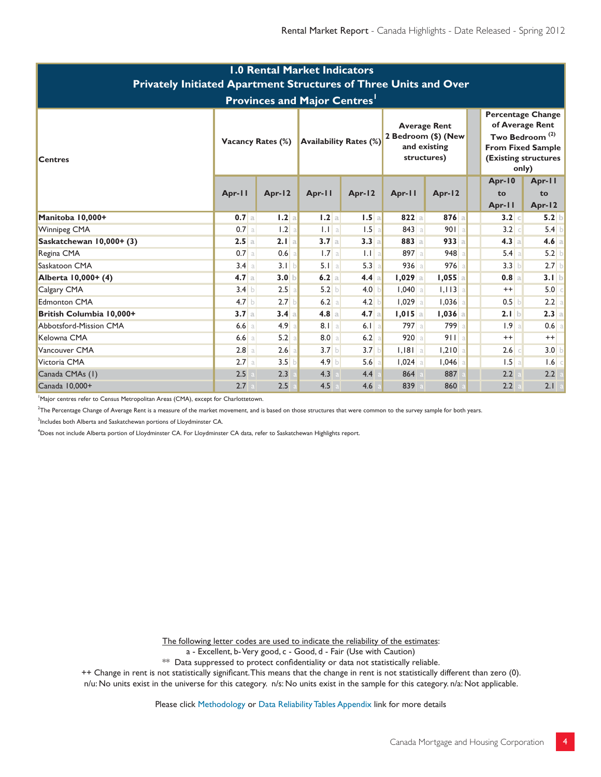| <b>1.0 Rental Market Indicators</b><br>Privately Initiated Apartment Structures of Three Units and Over<br><b>Provinces and Major Centres'</b> |                          |                  |                               |         |                                                                           |           |                                                                                                                                        |                  |  |  |  |
|------------------------------------------------------------------------------------------------------------------------------------------------|--------------------------|------------------|-------------------------------|---------|---------------------------------------------------------------------------|-----------|----------------------------------------------------------------------------------------------------------------------------------------|------------------|--|--|--|
| <b>Centres</b>                                                                                                                                 | <b>Vacancy Rates (%)</b> |                  | <b>Availability Rates (%)</b> |         | <b>Average Rent</b><br>2 Bedroom (\$) (New<br>and existing<br>structures) |           | Percentage Change<br>of Average Rent<br>Two Bedroom <sup>(2)</sup><br><b>From Fixed Sample</b><br><b>(Existing structures</b><br>only) |                  |  |  |  |
|                                                                                                                                                |                          |                  |                               |         |                                                                           |           | Apr-10                                                                                                                                 | Apr-11           |  |  |  |
|                                                                                                                                                | Apr-11                   | Apr-12           | Apr-11                        | Apr-12  | Apr-11                                                                    | Apr-12    | to<br>Apr-11                                                                                                                           | to<br>Apr-12     |  |  |  |
| Manitoba 10,000+                                                                                                                               | 0.7 a                    | 1.2a             | 1.2a                          | 1.5a    | $822$ a                                                                   | 876a      | $3.2$ c                                                                                                                                | 5.2 b            |  |  |  |
| <b>Winnipeg CMA</b>                                                                                                                            | $0.7$ a                  | 1.2<br>a         | 1.1 a                         | 1.5a    | 843a                                                                      | 901a      | 3.2 c                                                                                                                                  | 5.4 b            |  |  |  |
| Saskatchewan 10,000+ (3)                                                                                                                       | 2.5a                     | 2.1 a            | 3.7a                          | 3.3a    | 883 a                                                                     | $933$ a   | 4.3 a                                                                                                                                  | $4.6$ a          |  |  |  |
| Regina CMA                                                                                                                                     | $0.7$ a                  | 0.6              | 1.7a                          | $1.1$ a | 897 a                                                                     | 948       | 5.4 a                                                                                                                                  | $5.2$ b          |  |  |  |
| Saskatoon CMA                                                                                                                                  | 3.4 a                    | 3.1 b            | $5.1$ a                       | 5.3 a   | 936a                                                                      | $976$ a   | 3.3 b                                                                                                                                  | $2.7$ b          |  |  |  |
| Alberta 10,000+ (4)                                                                                                                            | 4.7a                     | 3.0 <sub>b</sub> | 6.2a                          | 4.4 a   | $1,029$ a                                                                 | $1,055$ a | 0.8 a                                                                                                                                  | 3.1 b            |  |  |  |
| Calgary CMA                                                                                                                                    | 3.4 b                    | 2.5<br>a         | 5.2 b                         | 4.0 b   | $1,040$ a                                                                 | $1,113$ a | $^{++}$                                                                                                                                | $5.0$ $\circ$    |  |  |  |
| <b>Edmonton CMA</b>                                                                                                                            | 4.7 <sub>b</sub>         | 2.7 <sub>b</sub> | 6.2 a                         | 4.2 b   | $1,029$ a                                                                 | $1,036$ a | $0.5$ b                                                                                                                                | 2.2 a            |  |  |  |
| British Columbia 10,000+                                                                                                                       | 3.7a                     | 3.4 a            | 4.8 a                         | 4.7a    | $1,015$ a                                                                 | $1,036$ a | 2.1 b                                                                                                                                  | $2.3$ a          |  |  |  |
| Abbotsford-Mission CMA                                                                                                                         | $6.6$ a                  | 4.9<br>a         | $8.1$   a                     | $6.1$ a | 797 a                                                                     | 799 a     | 1.9a                                                                                                                                   | $0.6$ a          |  |  |  |
| Kelowna CMA                                                                                                                                    | $6.6$ a                  | 5.2              | 8.0 a                         | 6.2 a   | 920a                                                                      | 911a      | $^{++}$                                                                                                                                | $^{++}$          |  |  |  |
| Vancouver CMA                                                                                                                                  | 2.8a                     | 2.6              | 3.7 b                         | 3.7 b   | $1,181$ a                                                                 | $1,210$ a | $2.6$ c                                                                                                                                | 3.0 <sub>b</sub> |  |  |  |
| Victoria CMA                                                                                                                                   | $2.7$ a                  | 3.5              | $4.9$ b                       | 5.6a    | $1,024$ a                                                                 | $1,046$ a | 1.5a                                                                                                                                   | $1.6$ c          |  |  |  |
| Canada CMAs (1)                                                                                                                                | 2.5                      | 2.3              | 4.3                           | 4.4     | 864                                                                       | 887       | 2.2                                                                                                                                    | 2.2              |  |  |  |
| Canada 10,000+                                                                                                                                 | 2.7                      | 2.5              | 4.5                           | 4.6     | 839                                                                       | 860       | 2.2                                                                                                                                    | 2.1 a            |  |  |  |

<sup>1</sup> Major centres refer to Census Metropolitan Areas (CMA), except for Charlottetown.

.<br><sup>2</sup>The Percentage Change of Average Rent is a measure of the market movement, and is based on those structures that were common to the survey sample for both years.

 $^3$ Includes both Alberta and Saskatchewan portions of Lloydminster CA.

4 Does not include Alberta portion of Lloydminster CA. For Lloydminster CA data, refer to Saskatchewan Highlights report.

The following letter codes are used to indicate the reliability of the estimates:

a - Excellent, b- Very good, c - Good, d - Fair (Use with Caution)

\*\* Data suppressed to protect confidentiality or data not statistically reliable.

++ Change in rent is not statistically significant. This means that the change in rent is not statistically different than zero (0).

n/u: No units exist in the universe for this category. n/s: No units exist in the sample for this category. n/a: Not applicable.

Please click Methodology or Data Reliability Tables Appendix link for more details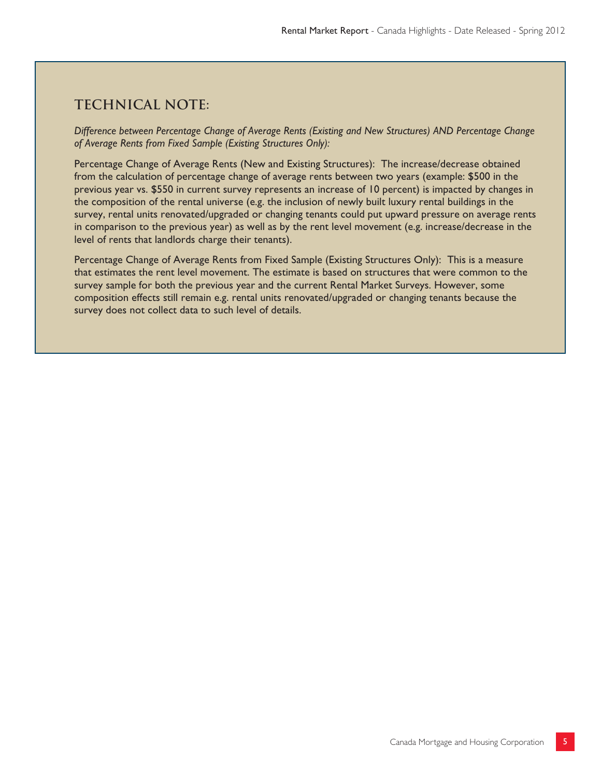### **Technical note:**

*Difference between Percentage Change of Average Rents (Existing and New Structures) AND Percentage Change of Average Rents from Fixed Sample (Existing Structures Only):*

Percentage Change of Average Rents (New and Existing Structures): The increase/decrease obtained from the calculation of percentage change of average rents between two years (example: \$500 in the previous year vs. \$550 in current survey represents an increase of 10 percent) is impacted by changes in the composition of the rental universe (e.g. the inclusion of newly built luxury rental buildings in the survey, rental units renovated/upgraded or changing tenants could put upward pressure on average rents in comparison to the previous year) as well as by the rent level movement (e.g. increase/decrease in the level of rents that landlords charge their tenants).

Percentage Change of Average Rents from Fixed Sample (Existing Structures Only): This is a measure that estimates the rent level movement. The estimate is based on structures that were common to the survey sample for both the previous year and the current Rental Market Surveys. However, some composition effects still remain e.g. rental units renovated/upgraded or changing tenants because the survey does not collect data to such level of details.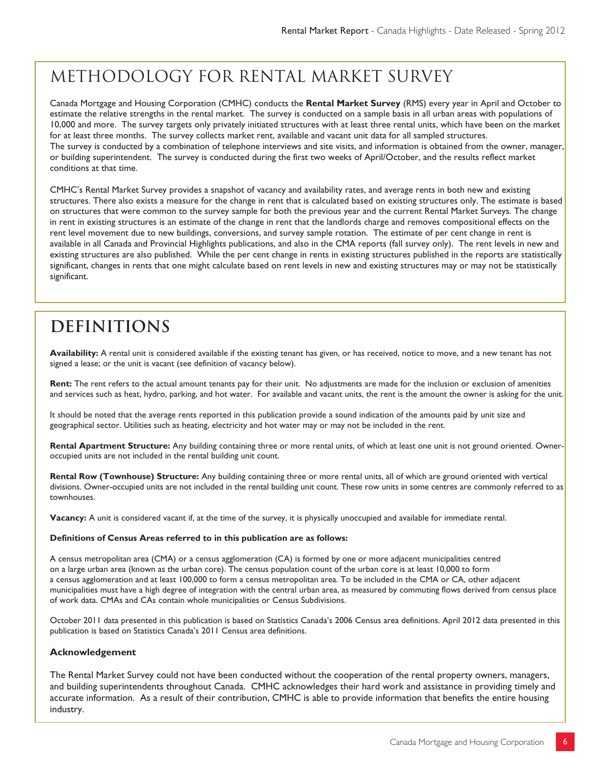## METHODOLOGY FOR RENTAL MARKET SURVEY

Canada Mortgage and Housing Corporation (CMHC) conducts the **Rental Market Survey** (RMS) every year in April and October to estimate the relative strengths in the rental market. The survey is conducted on a sample basis in all urban areas with populations of 10,000 and more. The survey targets only privately initiated structures with at least three rental units, which have been on the market for at least three months. The survey collects market rent, available and vacant unit data for all sampled structures. The survey is conducted by a combination of telephone interviews and site visits, and information is obtained from the owner, manager, or building superintendent. The survey is conducted during the first two weeks of April/October, and the results reflect market conditions at that time.

CMHC's Rental Market Survey provides a snapshot of vacancy and availability rates, and average rents in both new and existing structures. There also exists a measure for the change in rent that is calculated based on existing structures only. The estimate is based on structures that were common to the survey sample for both the previous year and the current Rental Market Surveys. The change in rent in existing structures is an estimate of the change in rent that the landlords charge and removes compositional effects on the rent level movement due to new buildings, conversions, and survey sample rotation. The estimate of per cent change in rent is available in all Canada and Provincial Highlights publications, and also in the CMA reports (fall survey only). The rent levels in new and existing structures are also published. While the per cent change in rents in existing structures published in the reports are statistically significant, changes in rents that one might calculate based on rent levels in new and existing structures may or may not be statistically significant.

## **Definitions**

**Availability:** A rental unit is considered available if the existing tenant has given, or has received, notice to move, and a new tenant has not signed a lease; or the unit is vacant (see definition of vacancy below).

**Rent:** The rent refers to the actual amount tenants pay for their unit. No adjustments are made for the inclusion or exclusion of amenities and services such as heat, hydro, parking, and hot water. For available and vacant units, the rent is the amount the owner is asking for the unit.

It should be noted that the average rents reported in this publication provide a sound indication of the amounts paid by unit size and geographical sector. Utilities such as heating, electricity and hot water may or may not be included in the rent.

**Rental Apartment Structure:** Any building containing three or more rental units, of which at least one unit is not ground oriented. Owneroccupied units are not included in the rental building unit count.

**Rental Row (Townhouse) Structure:** Any building containing three or more rental units, all of which are ground oriented with vertical divisions. Owner-occupied units are not included in the rental building unit count. These row units in some centres are commonly referred to as townhouses.

**Vacancy:** A unit is considered vacant if, at the time of the survey, it is physically unoccupied and available for immediate rental.

#### **Definitions of Census Areas referred to in this publication are as follows:**

A census metropolitan area (CMA) or a census agglomeration (CA) is formed by one or more adjacent municipalities centred on a large urban area (known as the urban core). The census population count of the urban core is at least 10,000 to form a census agglomeration and at least 100,000 to form a census metropolitan area. To be included in the CMA or CA, other adjacent municipalities must have a high degree of integration with the central urban area, as measured by commuting flows derived from census place of work data. CMAs and CAs contain whole municipalities or Census Subdivisions.

October 2011 data presented in this publication is based on Statistics Canada's 2006 Census area definitions. April 2012 data presented in this publication is based on Statistics Canada's 2011 Census area definitions.

#### **Acknowledgement**

The Rental Market Survey could not have been conducted without the cooperation of the rental property owners, managers, and building superintendents throughout Canada. CMHC acknowledges their hard work and assistance in providing timely and accurate information. As a result of their contribution, CMHC is able to provide information that benefits the entire housing industry.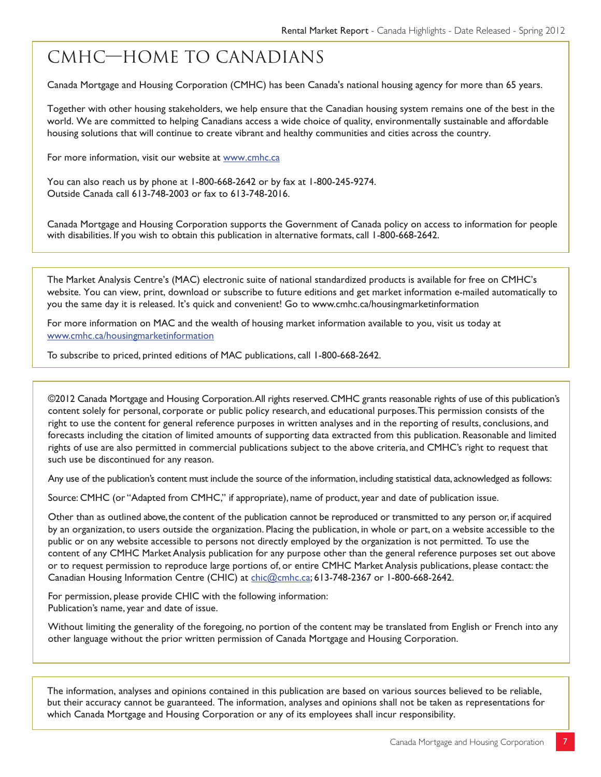## CMHC—Home to Canadians

Canada Mortgage and Housing Corporation (CMHC) has been Canada's national housing agency for more than 65 years.

Together with other housing stakeholders, we help ensure that the Canadian housing system remains one of the best in the world. We are committed to helping Canadians access a wide choice of quality, environmentally sustainable and affordable housing solutions that will continue to create vibrant and healthy communities and cities across the country.

For more information, visit our website at www.cmhc.ca

You can also reach us by phone at 1-800-668-2642 or by fax at 1-800-245-9274. Outside Canada call 613-748-2003 or fax to 613-748-2016.

Canada Mortgage and Housing Corporation supports the Government of Canada policy on access to information for people with disabilities. If you wish to obtain this publication in alternative formats, call 1-800-668-2642.

The Market Analysis Centre's (MAC) electronic suite of national standardized products is available for free on CMHC's website. You can view, print, download or subscribe to future editions and get market information e-mailed automatically to you the same day it is released. It's quick and convenient! Go to www.cmhc.ca/housingmarketinformation

For more information on MAC and the wealth of housing market information available to you, visit us today at www.cmhc.ca/housingmarketinformation

To subscribe to priced, printed editions of MAC publications, call 1-800-668-2642.

©2012 Canada Mortgage and Housing Corporation. All rights reserved. CMHC grants reasonable rights of use of this publication's content solely for personal, corporate or public policy research, and educational purposes. This permission consists of the right to use the content for general reference purposes in written analyses and in the reporting of results, conclusions, and forecasts including the citation of limited amounts of supporting data extracted from this publication. Reasonable and limited rights of use are also permitted in commercial publications subject to the above criteria, and CMHC's right to request that such use be discontinued for any reason.

Any use of the publication's content must include the source of the information, including statistical data, acknowledged as follows:

Source: CMHC (or "Adapted from CMHC," if appropriate), name of product, year and date of publication issue.

Other than as outlined above, the content of the publication cannot be reproduced or transmitted to any person or, if acquired by an organization, to users outside the organization. Placing the publication, in whole or part, on a website accessible to the public or on any website accessible to persons not directly employed by the organization is not permitted. To use the content of any CMHC Market Analysis publication for any purpose other than the general reference purposes set out above or to request permission to reproduce large portions of, or entire CMHC Market Analysis publications, please contact: the Canadian Housing Information Centre (CHIC) at chic@cmhc.ca; 613-748-2367 or 1-800-668-2642.

For permission, please provide CHIC with the following information: Publication's name, year and date of issue.

Without limiting the generality of the foregoing, no portion of the content may be translated from English or French into any other language without the prior written permission of Canada Mortgage and Housing Corporation.

The information, analyses and opinions contained in this publication are based on various sources believed to be reliable, but their accuracy cannot be guaranteed. The information, analyses and opinions shall not be taken as representations for which Canada Mortgage and Housing Corporation or any of its employees shall incur responsibility.